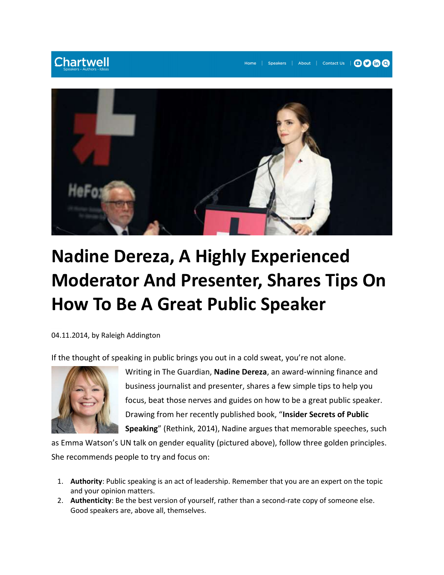## **Chartwell**



## Nadine Dereza, A Highly Experienced Moderator And Presenter, Shares Tips On How To Be A Great Public Speaker

04.11.2014, by Raleigh Addington

If the thought of speaking in public brings you out in a cold sweat, you're not alone.



Writing in The Guardian, Nadine Dereza, an award-winning finance and business journalist and presenter, shares a few simple tips to help you focus, beat those nerves and guides on how to be a great public speaker. Drawing from her recently published book, "Insider Secrets of Public Speaking" (Rethink, 2014), Nadine argues that memorable speeches, such

as Emma Watson's UN talk on gender equality (pictured above), follow three golden principles. She recommends people to try and focus on:

- 1. Authority: Public speaking is an act of leadership. Remember that you are an expert on the topic and your opinion matters.
- 2. Authenticity: Be the best version of yourself, rather than a second-rate copy of someone else. Good speakers are, above all, themselves.